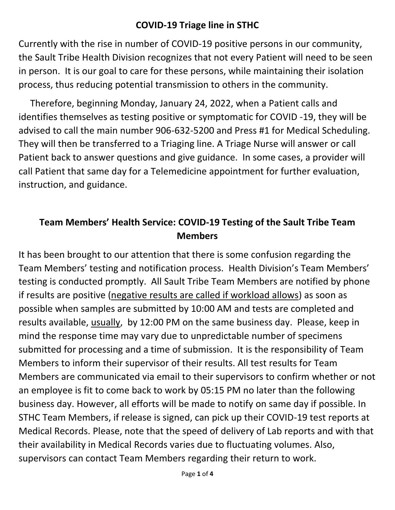### **COVID-19 Triage line in STHC**

Currently with the rise in number of COVID-19 positive persons in our community, the Sault Tribe Health Division recognizes that not every Patient will need to be seen in person. It is our goal to care for these persons, while maintaining their isolation process, thus reducing potential transmission to others in the community.

 Therefore, beginning Monday, January 24, 2022, when a Patient calls and identifies themselves as testing positive or symptomatic for COVID -19, they will be advised to call the main number 906-632-5200 and Press #1 for Medical Scheduling. They will then be transferred to a Triaging line. A Triage Nurse will answer or call Patient back to answer questions and give guidance. In some cases, a provider will call Patient that same day for a Telemedicine appointment for further evaluation, instruction, and guidance.

# **Team Members' Health Service: COVID-19 Testing of the Sault Tribe Team Members**

It has been brought to our attention that there is some confusion regarding the Team Members' testing and notification process. Health Division's Team Members' testing is conducted promptly. All Sault Tribe Team Members are notified by phone if results are positive (negative results are called if workload allows) as soon as possible when samples are submitted by 10:00 AM and tests are completed and results available, usually, by 12:00 PM on the same business day. Please, keep in mind the response time may vary due to unpredictable number of specimens submitted for processing and a time of submission. It is the responsibility of Team Members to inform their supervisor of their results. All test results for Team Members are communicated via email to their supervisors to confirm whether or not an employee is fit to come back to work by 05:15 PM no later than the following business day. However, all efforts will be made to notify on same day if possible. In STHC Team Members, if release is signed, can pick up their COVID-19 test reports at Medical Records. Please, note that the speed of delivery of Lab reports and with that their availability in Medical Records varies due to fluctuating volumes. Also, supervisors can contact Team Members regarding their return to work.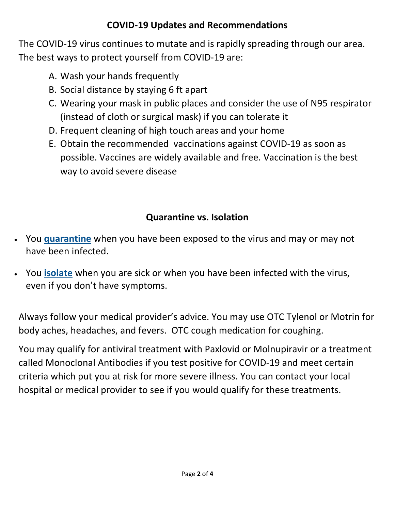## **COVID-19 Updates and Recommendations**

The COVID-19 virus continues to mutate and is rapidly spreading through our area. The best ways to protect yourself from COVID-19 are:

- A. Wash your hands frequently
- B. Social distance by staying 6 ft apart
- C. Wearing your mask in public places and consider the use of N95 respirator (instead of cloth or surgical mask) if you can tolerate it
- D. Frequent cleaning of high touch areas and your home
- E. Obtain the recommended vaccinations against COVID-19 as soon as possible. Vaccines are widely available and free. Vaccination is the best way to avoid severe disease

# **Quarantine vs. Isolation**

- You **[quarantine](https://www.cdc.gov/coronavirus/2019-ncov/your-health/quarantine-isolation.html#quarantine)** when you have been exposed to the virus and may or may not have been infected.
- You **[isolate](https://www.cdc.gov/coronavirus/2019-ncov/your-health/quarantine-isolation.html#isolation)** when you are sick or when you have been infected with the virus, even if you don't have symptoms.

Always follow your medical provider's advice. You may use OTC Tylenol or Motrin for body aches, headaches, and fevers. OTC cough medication for coughing.

You may qualify for antiviral treatment with Paxlovid or Molnupiravir or a treatment called Monoclonal Antibodies if you test positive for COVID-19 and meet certain criteria which put you at risk for more severe illness. You can contact your local hospital or medical provider to see if you would qualify for these treatments.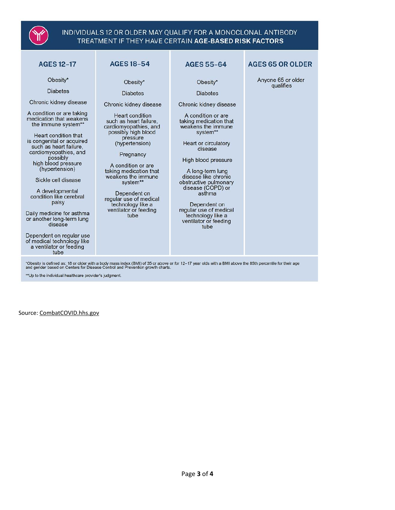

#### INDIVIDUALS 12 OR OLDER MAY QUALIFY FOR A MONOCLONAL ANTIBODY TREATMENT IF THEY HAVE CERTAIN AGE-BASED RISK FACTORS

| <b>AGES 12-17</b>                                                                                                                                                                                                                                                                                                                                                                                                                                                                                                                                 | <b>AGES 18-54</b>                                                                                                                                                                                                                                                                                                                                                                      | <b>AGES 55-64</b>                                                                                                                                                                                                                                                                                                                                                                                     | <b>AGES 65 OR OLDER</b>         |
|---------------------------------------------------------------------------------------------------------------------------------------------------------------------------------------------------------------------------------------------------------------------------------------------------------------------------------------------------------------------------------------------------------------------------------------------------------------------------------------------------------------------------------------------------|----------------------------------------------------------------------------------------------------------------------------------------------------------------------------------------------------------------------------------------------------------------------------------------------------------------------------------------------------------------------------------------|-------------------------------------------------------------------------------------------------------------------------------------------------------------------------------------------------------------------------------------------------------------------------------------------------------------------------------------------------------------------------------------------------------|---------------------------------|
| Obesity*<br><b>Diabetes</b><br>Chronic kidney disease<br>A condition or are taking<br>medication that weakens<br>the immune system**<br>Heart condition that<br>is congenital or acquired<br>such as heart failure,<br>cardiomyopathies, and<br>possibly<br>high blood pressure<br>(hypertension)<br>Sickle cell disease<br>A developmental<br>condition like cerebral<br>palsy<br>Daily medicine for asthma<br>or another long-term lung<br>disease<br>Dependent on regular use<br>of medical technology like<br>a ventilator or feeding<br>tube | Obesity*<br><b>Diabetes</b><br>Chronic kidney disease<br><b>Heart condition</b><br>such as heart failure.<br>cardiomyopathies, and<br>possibly high blood<br>pressure<br>(hypertension)<br>Pregnancy<br>A condition or are<br>taking medication that<br>weakens the immune<br>system**<br>Dependent on<br>regular use of medical<br>technology like a<br>ventilator or feeding<br>tube | Obesity*<br><b>Diabetes</b><br>Chronic kidney disease<br>A condition or are<br>taking medication that<br>weakens the immune<br>system**<br>Heart or circulatory<br>disease<br>High blood pressure<br>A long-term lung<br>disease like chronic<br>obstructive pulmonary<br>disease (COPD) or<br>asthma<br>Dependent on<br>regular use of medical<br>technology like a<br>ventilator or feeding<br>tube | Anyone 65 or older<br>qualifies |
| Obesity is defined as: 18 or older with a body mass index (BMI) of 35 or above or for 12-17 year olds with a BMI above the 85th percentile for their age<br>and gender based on Centers for Disease Control and Prevention growth charts.                                                                                                                                                                                                                                                                                                         |                                                                                                                                                                                                                                                                                                                                                                                        |                                                                                                                                                                                                                                                                                                                                                                                                       |                                 |

\*\* Up to the individual healthcare provider's judgment.

Source: CombatCOVID.hhs.gov